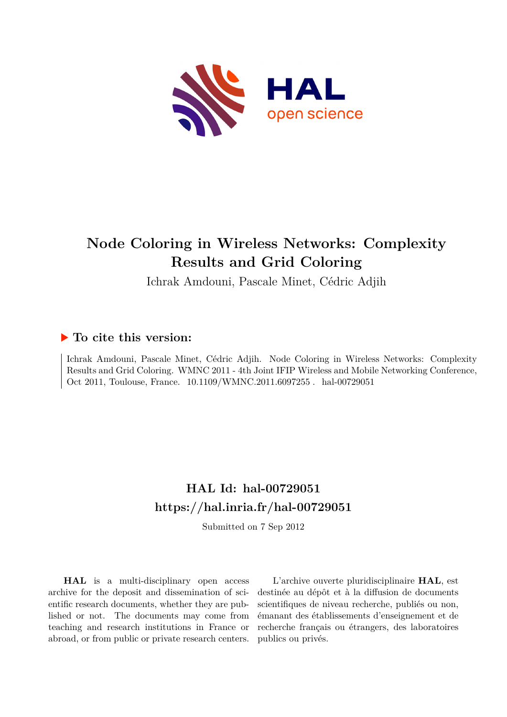

## **Node Coloring in Wireless Networks: Complexity Results and Grid Coloring**

Ichrak Amdouni, Pascale Minet, Cédric Adjih

### **To cite this version:**

Ichrak Amdouni, Pascale Minet, Cédric Adjih. Node Coloring in Wireless Networks: Complexity Results and Grid Coloring. WMNC 2011 - 4th Joint IFIP Wireless and Mobile Networking Conference, Oct 2011, Toulouse, France.  $10.1109/WMNC.2011.6097255$ . hal-00729051

## **HAL Id: hal-00729051 <https://hal.inria.fr/hal-00729051>**

Submitted on 7 Sep 2012

**HAL** is a multi-disciplinary open access archive for the deposit and dissemination of scientific research documents, whether they are published or not. The documents may come from teaching and research institutions in France or abroad, or from public or private research centers.

L'archive ouverte pluridisciplinaire **HAL**, est destinée au dépôt et à la diffusion de documents scientifiques de niveau recherche, publiés ou non, émanant des établissements d'enseignement et de recherche français ou étrangers, des laboratoires publics ou privés.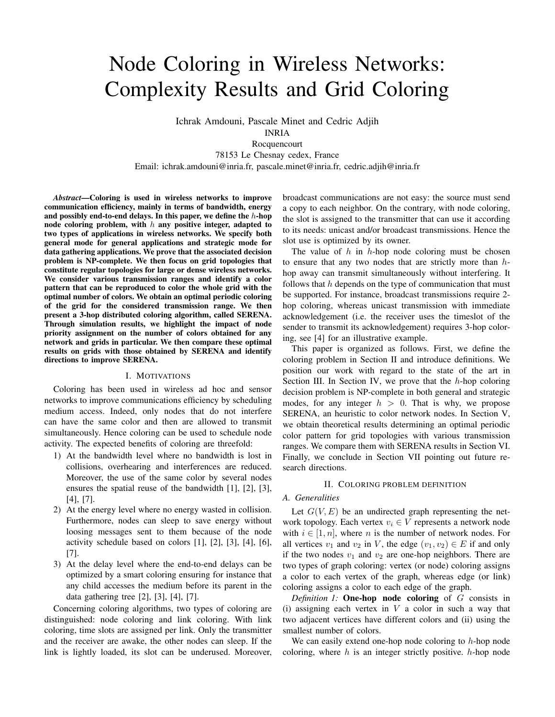# Node Coloring in Wireless Networks: Complexity Results and Grid Coloring

Ichrak Amdouni, Pascale Minet and Cedric Adjih INRIA

Rocquencourt

78153 Le Chesnay cedex, France

Email: ichrak.amdouni@inria.fr, pascale.minet@inria.fr, cedric.adjih@inria.fr

*Abstract*—Coloring is used in wireless networks to improve communication efficiency, mainly in terms of bandwidth, energy and possibly end-to-end delays. In this paper, we define the  $h$ -hop node coloring problem, with  $h$  any positive integer, adapted to two types of applications in wireless networks. We specify both general mode for general applications and strategic mode for data gathering applications. We prove that the associated decision problem is NP-complete. We then focus on grid topologies that constitute regular topologies for large or dense wireless networks. We consider various transmission ranges and identify a color pattern that can be reproduced to color the whole grid with the optimal number of colors. We obtain an optimal periodic coloring of the grid for the considered transmission range. We then present a 3-hop distributed coloring algorithm, called SERENA. Through simulation results, we highlight the impact of node priority assignment on the number of colors obtained for any network and grids in particular. We then compare these optimal results on grids with those obtained by SERENA and identify directions to improve SERENA.

#### I. MOTIVATIONS

Coloring has been used in wireless ad hoc and sensor networks to improve communications efficiency by scheduling medium access. Indeed, only nodes that do not interfere can have the same color and then are allowed to transmit simultaneously. Hence coloring can be used to schedule node activity. The expected benefits of coloring are threefold:

- 1) At the bandwidth level where no bandwidth is lost in collisions, overhearing and interferences are reduced. Moreover, the use of the same color by several nodes ensures the spatial reuse of the bandwidth [1], [2], [3], [4], [7].
- 2) At the energy level where no energy wasted in collision. Furthermore, nodes can sleep to save energy without loosing messages sent to them because of the node activity schedule based on colors [1], [2], [3], [4], [6], [7].
- 3) At the delay level where the end-to-end delays can be optimized by a smart coloring ensuring for instance that any child accesses the medium before its parent in the data gathering tree [2], [3], [4], [7].

Concerning coloring algorithms, two types of coloring are distinguished: node coloring and link coloring. With link coloring, time slots are assigned per link. Only the transmitter and the receiver are awake, the other nodes can sleep. If the link is lightly loaded, its slot can be underused. Moreover, broadcast communications are not easy: the source must send a copy to each neighbor. On the contrary, with node coloring, the slot is assigned to the transmitter that can use it according to its needs: unicast and/or broadcast transmissions. Hence the slot use is optimized by its owner.

The value of  $h$  in  $h$ -hop node coloring must be chosen to ensure that any two nodes that are strictly more than hhop away can transmit simultaneously without interfering. It follows that  $h$  depends on the type of communication that must be supported. For instance, broadcast transmissions require 2 hop coloring, whereas unicast transmission with immediate acknowledgement (i.e. the receiver uses the timeslot of the sender to transmit its acknowledgement) requires 3-hop coloring, see [4] for an illustrative example.

This paper is organized as follows. First, we define the coloring problem in Section II and introduce definitions. We position our work with regard to the state of the art in Section III. In Section IV, we prove that the  $h$ -hop coloring decision problem is NP-complete in both general and strategic modes, for any integer  $h > 0$ . That is why, we propose SERENA, an heuristic to color network nodes. In Section V, we obtain theoretical results determining an optimal periodic color pattern for grid topologies with various transmission ranges. We compare them with SERENA results in Section VI. Finally, we conclude in Section VII pointing out future research directions.

#### II. COLORING PROBLEM DEFINITION

#### *A. Generalities*

Let  $G(V, E)$  be an undirected graph representing the network topology. Each vertex  $v_i \in V$  represents a network node with  $i \in [1, n]$ , where n is the number of network nodes. For all vertices  $v_1$  and  $v_2$  in V, the edge  $(v_1, v_2) \in E$  if and only if the two nodes  $v_1$  and  $v_2$  are one-hop neighbors. There are two types of graph coloring: vertex (or node) coloring assigns a color to each vertex of the graph, whereas edge (or link) coloring assigns a color to each edge of the graph.

*Definition 1:* One-hop node coloring of G consists in (i) assigning each vertex in  $V$  a color in such a way that two adjacent vertices have different colors and (ii) using the smallest number of colors.

We can easily extend one-hop node coloring to  $h$ -hop node coloring, where  $h$  is an integer strictly positive.  $h$ -hop node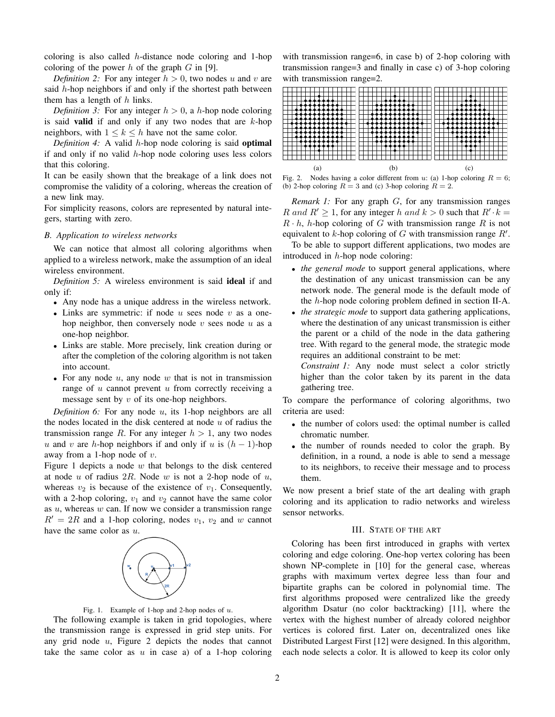coloring is also called h-distance node coloring and 1-hop coloring of the power  $h$  of the graph  $G$  in [9].

*Definition 2:* For any integer  $h > 0$ , two nodes u and v are said  $h$ -hop neighbors if and only if the shortest path between them has a length of  $h$  links.

*Definition 3:* For any integer  $h > 0$ , a h-hop node coloring is said **valid** if and only if any two nodes that are  $k$ -hop neighbors, with  $1 \leq k \leq h$  have not the same color.

*Definition 4:* A valid h-hop node coloring is said optimal if and only if no valid  $h$ -hop node coloring uses less colors that this coloring.

It can be easily shown that the breakage of a link does not compromise the validity of a coloring, whereas the creation of a new link may.

For simplicity reasons, colors are represented by natural integers, starting with zero.

#### *B. Application to wireless networks*

We can notice that almost all coloring algorithms when applied to a wireless network, make the assumption of an ideal wireless environment.

*Definition 5:* A wireless environment is said ideal if and only if:

- Any node has a unique address in the wireless network.
- Links are symmetric: if node  $u$  sees node  $v$  as a onehop neighbor, then conversely node  $v$  sees node  $u$  as a one-hop neighbor.
- Links are stable. More precisely, link creation during or after the completion of the coloring algorithm is not taken into account.
- For any node  $u$ , any node  $w$  that is not in transmission range of  $u$  cannot prevent  $u$  from correctly receiving a message sent by  $v$  of its one-hop neighbors.

*Definition 6:* For any node u, its 1-hop neighbors are all the nodes located in the disk centered at node  $u$  of radius the transmission range R. For any integer  $h > 1$ , any two nodes u and v are h-hop neighbors if and only if u is  $(h - 1)$ -hop away from a 1-hop node of  $v$ .

Figure 1 depicts a node  $w$  that belongs to the disk centered at node  $u$  of radius  $2R$ . Node  $w$  is not a 2-hop node of  $u$ , whereas  $v_2$  is because of the existence of  $v_1$ . Consequently, with a 2-hop coloring,  $v_1$  and  $v_2$  cannot have the same color as  $u$ , whereas  $w$  can. If now we consider a transmission range  $R' = 2R$  and a 1-hop coloring, nodes  $v_1$ ,  $v_2$  and w cannot have the same color as  $u$ .



Fig. 1. Example of 1-hop and 2-hop nodes of  $u$ .

The following example is taken in grid topologies, where the transmission range is expressed in grid step units. For any grid node  $u$ , Figure 2 depicts the nodes that cannot take the same color as  $u$  in case a) of a 1-hop coloring with transmission range=6, in case b) of 2-hop coloring with transmission range=3 and finally in case c) of 3-hop coloring with transmission range=2.



(b) 2-hop coloring  $R = 3$  and (c) 3-hop coloring  $R = 2$ .

*Remark 1:* For any graph G, for any transmission ranges R and  $R' \ge 1$ , for any integer h and  $k > 0$  such that  $R' \cdot k =$  $R \cdot h$ , *h*-hop coloring of G with transmission range R is not equivalent to  $k$ -hop coloring of  $G$  with transmission range  $R'$ .

To be able to support different applications, two modes are introduced in  $h$ -hop node coloring:

- *the general mode* to support general applications, where the destination of any unicast transmission can be any network node. The general mode is the default mode of the h-hop node coloring problem defined in section II-A.
- *the strategic mode* to support data gathering applications, where the destination of any unicast transmission is either the parent or a child of the node in the data gathering tree. With regard to the general mode, the strategic mode requires an additional constraint to be met:

*Constraint 1:* Any node must select a color strictly higher than the color taken by its parent in the data gathering tree.

To compare the performance of coloring algorithms, two criteria are used:

- the number of colors used: the optimal number is called chromatic number.
- the number of rounds needed to color the graph. By definition, in a round, a node is able to send a message to its neighbors, to receive their message and to process them.

We now present a brief state of the art dealing with graph coloring and its application to radio networks and wireless sensor networks.

#### III. STATE OF THE ART

Coloring has been first introduced in graphs with vertex coloring and edge coloring. One-hop vertex coloring has been shown NP-complete in [10] for the general case, whereas graphs with maximum vertex degree less than four and bipartite graphs can be colored in polynomial time. The first algorithms proposed were centralized like the greedy algorithm Dsatur (no color backtracking) [11], where the vertex with the highest number of already colored neighbor vertices is colored first. Later on, decentralized ones like Distributed Largest First [12] were designed. In this algorithm, each node selects a color. It is allowed to keep its color only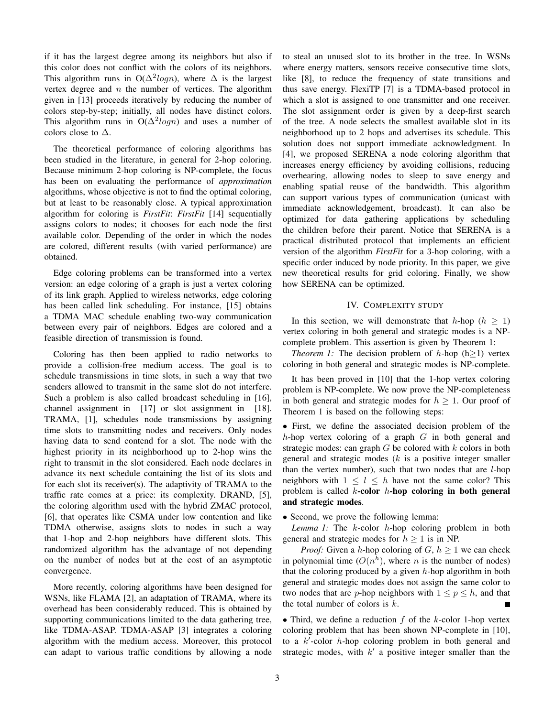if it has the largest degree among its neighbors but also if this color does not conflict with the colors of its neighbors. This algorithm runs in O( $\Delta^2 log n$ ), where  $\Delta$  is the largest vertex degree and  $n$  the number of vertices. The algorithm given in [13] proceeds iteratively by reducing the number of colors step-by-step; initially, all nodes have distinct colors. This algorithm runs in  $O(\Delta^2 log n)$  and uses a number of colors close to  $\Delta$ .

The theoretical performance of coloring algorithms has been studied in the literature, in general for 2-hop coloring. Because minimum 2-hop coloring is NP-complete, the focus has been on evaluating the performance of *approximation* algorithms, whose objective is not to find the optimal coloring, but at least to be reasonably close. A typical approximation algorithm for coloring is *FirstFit*: *FirstFit* [14] sequentially assigns colors to nodes; it chooses for each node the first available color. Depending of the order in which the nodes are colored, different results (with varied performance) are obtained.

Edge coloring problems can be transformed into a vertex version: an edge coloring of a graph is just a vertex coloring of its link graph. Applied to wireless networks, edge coloring has been called link scheduling. For instance, [15] obtains a TDMA MAC schedule enabling two-way communication between every pair of neighbors. Edges are colored and a feasible direction of transmission is found.

Coloring has then been applied to radio networks to provide a collision-free medium access. The goal is to schedule transmissions in time slots, in such a way that two senders allowed to transmit in the same slot do not interfere. Such a problem is also called broadcast scheduling in [16], channel assignment in [17] or slot assignment in [18]. TRAMA, [1], schedules node transmissions by assigning time slots to transmitting nodes and receivers. Only nodes having data to send contend for a slot. The node with the highest priority in its neighborhood up to 2-hop wins the right to transmit in the slot considered. Each node declares in advance its next schedule containing the list of its slots and for each slot its receiver(s). The adaptivity of TRAMA to the traffic rate comes at a price: its complexity. DRAND, [5], the coloring algorithm used with the hybrid ZMAC protocol, [6], that operates like CSMA under low contention and like TDMA otherwise, assigns slots to nodes in such a way that 1-hop and 2-hop neighbors have different slots. This randomized algorithm has the advantage of not depending on the number of nodes but at the cost of an asymptotic convergence.

More recently, coloring algorithms have been designed for WSNs, like FLAMA [2], an adaptation of TRAMA, where its overhead has been considerably reduced. This is obtained by supporting communications limited to the data gathering tree, like TDMA-ASAP. TDMA-ASAP [3] integrates a coloring algorithm with the medium access. Moreover, this protocol can adapt to various traffic conditions by allowing a node to steal an unused slot to its brother in the tree. In WSNs where energy matters, sensors receive consecutive time slots, like [8], to reduce the frequency of state transitions and thus save energy. FlexiTP [7] is a TDMA-based protocol in which a slot is assigned to one transmitter and one receiver. The slot assignment order is given by a deep-first search of the tree. A node selects the smallest available slot in its neighborhood up to 2 hops and advertises its schedule. This solution does not support immediate acknowledgment. In [4], we proposed SERENA a node coloring algorithm that increases energy efficiency by avoiding collisions, reducing overhearing, allowing nodes to sleep to save energy and enabling spatial reuse of the bandwidth. This algorithm can support various types of communication (unicast with immediate acknowledgement, broadcast). It can also be optimized for data gathering applications by scheduling the children before their parent. Notice that SERENA is a practical distributed protocol that implements an efficient version of the algorithm *FirstFit* for a 3-hop coloring, with a specific order induced by node priority. In this paper, we give new theoretical results for grid coloring. Finally, we show how SERENA can be optimized.

#### IV. COMPLEXITY STUDY

In this section, we will demonstrate that h-hop ( $h \geq 1$ ) vertex coloring in both general and strategic modes is a NPcomplete problem. This assertion is given by Theorem 1:

*Theorem 1:* The decision problem of  $h$ -hop (h>1) vertex coloring in both general and strategic modes is NP-complete.

It has been proved in [10] that the 1-hop vertex coloring problem is NP-complete. We now prove the NP-completeness in both general and strategic modes for  $h \geq 1$ . Our proof of Theorem 1 is based on the following steps:

• First, we define the associated decision problem of the h-hop vertex coloring of a graph  $G$  in both general and strategic modes: can graph  $G$  be colored with  $k$  colors in both general and strategic modes  $(k$  is a positive integer smaller than the vertex number), such that two nodes that are  $l$ -hop neighbors with  $1 \leq l \leq h$  have not the same color? This problem is called  $k$ -color  $h$ -hop coloring in both general and strategic modes.

• Second, we prove the following lemma:

*Lemma 1:* The k-color h-hop coloring problem in both general and strategic modes for  $h \geq 1$  is in NP.

*Proof:* Given a h-hop coloring of  $G, h \geq 1$  we can check in polynomial time  $(O(n^h))$ , where *n* is the number of nodes) that the coloring produced by a given  $h$ -hop algorithm in both general and strategic modes does not assign the same color to two nodes that are *p*-hop neighbors with  $1 \le p \le h$ , and that the total number of colors is  $k$ .

• Third, we define a reduction  $f$  of the  $k$ -color 1-hop vertex coloring problem that has been shown NP-complete in [10], to a  $k'$ -color  $h$ -hop coloring problem in both general and strategic modes, with  $k'$  a positive integer smaller than the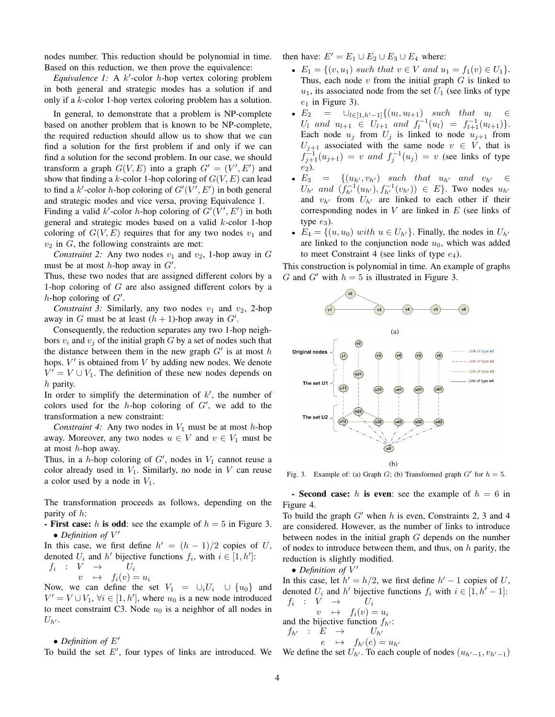nodes number. This reduction should be polynomial in time. Based on this reduction, we then prove the equivalence:

Equivalence 1: A  $k'$ -color  $h$ -hop vertex coloring problem in both general and strategic modes has a solution if and only if a k-color 1-hop vertex coloring problem has a solution.

In general, to demonstrate that a problem is NP-complete based on another problem that is known to be NP-complete, the required reduction should allow us to show that we can find a solution for the first problem if and only if we can find a solution for the second problem. In our case, we should transform a graph  $G(V, E)$  into a graph  $G' = (V', E')$  and show that finding a k-color 1-hop coloring of  $G(V, E)$  can lead to find a k'-color h-hop coloring of  $G'(V', E')$  in both general and strategic modes and vice versa, proving Equivalence 1.

Finding a valid k'-color h-hop coloring of  $G'(V', E')$  in both general and strategic modes based on a valid k-color 1-hop coloring of  $G(V, E)$  requires that for any two nodes  $v_1$  and  $v_2$  in  $G$ , the following constraints are met:

*Constraint 2:* Any two nodes  $v_1$  and  $v_2$ , 1-hop away in G must be at most h-hop away in  $G'$ .

Thus, these two nodes that are assigned different colors by a 1-hop coloring of G are also assigned different colors by a h-hop coloring of  $G'$ .

*Constraint 3:* Similarly, any two nodes  $v_1$  and  $v_2$ , 2-hop away in G must be at least  $(h + 1)$ -hop away in G'.

Consequently, the reduction separates any two 1-hop neighbors  $v_i$  and  $v_j$  of the initial graph G by a set of nodes such that the distance between them in the new graph  $G'$  is at most h hops.  $V'$  is obtained from  $V$  by adding new nodes. We denote  $V' = V \cup V_1$ . The definition of these new nodes depends on  $h$  parity.

In order to simplify the determination of  $k'$ , the number of colors used for the  $h$ -hop coloring of  $G'$ , we add to the transformation a new constraint:

*Constraint 4:* Any two nodes in  $V_1$  must be at most h-hop away. Moreover, any two nodes  $u \in V$  and  $v \in V_1$  must be at most  $h$ -hop away.

Thus, in a h-hop coloring of  $G'$ , nodes in  $V_1$  cannot reuse a color already used in  $V_1$ . Similarly, no node in V can reuse a color used by a node in  $V_1$ .

The transformation proceeds as follows, depending on the parity of h:

- First case: h is odd: see the example of  $h = 5$  in Figure 3. • Definition of  $V'$ 

In this case, we first define  $h' = (h - 1)/2$  copies of U, denoted  $U_i$  and  $h'$  bijective functions  $f_i$ , with  $i \in [1, h']$ :

 $f_i : V \rightarrow U_i$  $v \rightarrow f_i(v) = u_i$ 

Now, we can define the set  $V_1 = \bigcup_i U_i \cup \{u_0\}$  and  $V' = V \cup V_1$ ,  $\forall i \in [1, h']$ , where  $u_0$  is a new node introduced to meet constraint C3. Node  $u_0$  is a neighbor of all nodes in  $U_{h'}$ .

• *Definition of*  $E'$ 

To build the set E', four types of links are introduced. We We define the set  $U_{h'}$ . To each couple of nodes  $(u_{h'-1}, v_{h'-1})$ 

then have:  $E' = E_1 \cup E_2 \cup E_3 \cup E_4$  where:

- $E_1 = \{(v, u_1) \text{ such that } v \in V \text{ and } u_1 = f_1(v) \in U_1\}.$ Thus, each node  $v$  from the initial graph  $G$  is linked to  $u_1$ , its associated node from the set  $U_1$  (see links of type  $e_1$  in Figure 3).
- $E_2 = \bigcup_{l \in [1, h'-1]} \{(u_l, u_{l+1}) \text{ such that } u_l \in$  $U_l$  and  $u_{l+1} \in U_{l+1}$  and  $f_l^{-1}(u_l) = f_{l+1}^{-1}(u_{l+1})\}.$ Each node  $u_j$  from  $U_j$  is linked to node  $u_{j+1}$  from  $U_{j+1}$  associated with the same node  $v \in V$ , that is  $f_{j+1}^{-1}(u_{j+1}) = v$  and  $f_j^{-1}(u_j) = v$  (see links of type  $e_2$ ).
- $E_3$  =  $\{(u_{h'}, v_{h'}) \text{ such that } u_{h'} \text{ and } v_{h'} \in$  $U_{h'}$  and  $(f_{h'}^{-1}(u_{h'}), f_{h'}^{-1}(v_{h'})) \in E$ . Two nodes  $u_{h'}$ and  $v_{h'}$  from  $U_{h'}$  are linked to each other if their corresponding nodes in  $V$  are linked in  $E$  (see links of type  $e_3$ ).
- $E_4 = \{(u, u_0) \text{ with } u \in U_{h'}\}.$  Finally, the nodes in  $U_{h'}$ are linked to the conjunction node  $u_0$ , which was added to meet Constraint 4 (see links of type  $e_4$ ).

This construction is polynomial in time. An example of graphs G and G' with  $h = 5$  is illustrated in Figure 3.



Fig. 3. Example of: (a) Graph  $G$ ; (b) Transformed graph  $G'$  for  $h = 5$ .

- Second case: h is even: see the example of  $h = 6$  in Figure 4.

To build the graph  $G'$  when h is even, Constraints 2, 3 and 4 are considered. However, as the number of links to introduce between nodes in the initial graph G depends on the number of nodes to introduce between them, and thus, on  $h$  parity, the reduction is slightly modified.

• Definition of  $V'$ 

In this case, let  $h' = h/2$ , we first define  $h' - 1$  copies of U, denoted  $U_i$  and  $h'$  bijective functions  $f_i$  with  $i \in [1, h'-1]$ :  $f_i : V \rightarrow U_i$  $v \rightarrow f_i(v) = u_i$ and the bijective function  $f_{h'}$ :

$$
\begin{array}{rcl}\nf_{h'} & : & E & \rightarrow & U_{h'} \\
e & \mapsto & f_{h'}(e) = u_{h'}\n\end{array}
$$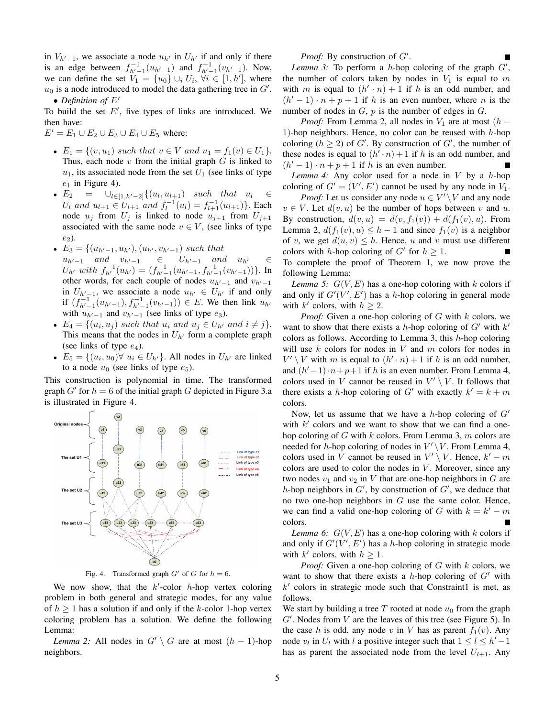in  $V_{h'-1}$ , we associate a node  $u_{h'}$  in  $U_{h'}$  if and only if there is an edge between  $f_{h'-1}^{-1}(u_{h'-1})$  and  $f_{h'-1}^{-1}(v_{h'-1})$ . Now, we can define the set  $V_1 = \{u_0\} \cup_i U_i$ ,  $\forall i \in [1, h']$ , where  $u_0$  is a node introduced to model the data gathering tree in  $G'$ .

• Definition of  $E'$ 

To build the set  $E'$ , five types of links are introduced. We then have:

 $E' = E_1 \cup E_2 \cup E_3 \cup E_4 \cup E_5$  where:

- $E_1 = \{(v, u_1) \text{ such that } v \in V \text{ and } u_1 = f_1(v) \in U_1\}.$ Thus, each node  $v$  from the initial graph  $G$  is linked to  $u_1$ , its associated node from the set  $U_1$  (see links of type  $e_1$  in Figure 4).
- $E_2 = \bigcup_{l \in [1, h'-2]} \{(u_l, u_{l+1}) \text{ such that } u_l \in$  $U_l$  and  $u_{l+1} \in U_{l+1}$  and  $f_l^{-1}(u_l) = f_{l+1}^{-1}(u_{l+1})\}$ . Each node  $u_i$  from  $U_i$  is linked to node  $u_{i+1}$  from  $U_{i+1}$ associated with the same node  $v \in V$ , (see links of type  $e_2$ ).
- $E_3 = \{(u_{h'-1}, u_{h'}), (u_{h'}, v_{h'-1}) \text{ such that }$  $u_{h'-1}$  and  $v_{h'-1}$  ∈  $U_{h'-1}$  and  $u_{h'}$  ∈  $U_{h'}$  with  $f_{h'}^{-1}(u_{h'}) = (f_{h'-1}^{-1}(u_{h'-1}, f_{h'-1}^{-1}(v_{h'-1}))\}$ . In other words, for each couple of nodes  $u_{h'-1}$  and  $v_{h'-1}$ in  $U_{h'-1}$ , we associate a node  $u_{h'} \in U_{h'}$  if and only if  $(f_{h'-1}^{-1}(u_{h'-1}), f_{h'-1}^{-1}(v_{h'-1})) \in E$ . We then link  $u_{h'}$ with  $u_{h'-1}$  and  $v_{h'-1}$  (see links of type  $e_3$ ).
- $E_4 = \{(u_i, u_j) \text{ such that } u_i \text{ and } u_j \in U_{h'} \text{ and } i \neq j\}.$ This means that the nodes in  $U_{h'}$  form a complete graph (see links of type  $e_4$ ).
- $E_5 = \{(u_i, u_0) \forall u_i \in U_{h'}\}$ . All nodes in  $U_{h'}$  are linked to a node  $u_0$  (see links of type  $e_5$ ).

This construction is polynomial in time. The transformed graph  $G'$  for  $h = 6$  of the initial graph G depicted in Figure 3.a is illustrated in Figure 4.



Fig. 4. Transformed graph  $G'$  of G for  $h = 6$ .

We now show, that the  $k'$ -color  $h$ -hop vertex coloring problem in both general and strategic modes, for any value of  $h \geq 1$  has a solution if and only if the k-color 1-hop vertex coloring problem has a solution. We define the following Lemma:

*Lemma 2:* All nodes in  $G' \setminus G$  are at most  $(h - 1)$ -hop neighbors.

*Proof:* By construction of  $G'$ .

Lemma 3: To perform a  $h$ -hop coloring of the graph  $G'$ , the number of colors taken by nodes in  $V_1$  is equal to m with m is equal to  $(h' \cdot n) + 1$  if h is an odd number, and  $(h' - 1) \cdot n + p + 1$  if h is an even number, where n is the number of nodes in  $G$ ,  $p$  is the number of edges in  $G$ .

*Proof:* From Lemma 2, all nodes in  $V_1$  are at most (h – 1)-hop neighbors. Hence, no color can be reused with  $h$ -hop coloring  $(h \ge 2)$  of G'. By construction of G', the number of these nodes is equal to  $(h' \cdot n) + 1$  if h is an odd number, and  $(h' - 1) \cdot n + p + 1$  if h is an even number.

*Lemma 4:* Any color used for a node in  $V$  by a  $h$ -hop coloring of  $G' = (V', E')$  cannot be used by any node in  $V_1$ .

*Proof:* Let us consider any node  $u \in V' \setminus V$  and any node  $v \in V$ . Let  $d(v, u)$  be the number of hops between v and u. By construction,  $d(v, u) = d(v, f_1(v)) + d(f_1(v), u)$ . From Lemma 2,  $d(f_1(v), u) \leq h - 1$  and since  $f_1(v)$  is a neighbor of v, we get  $d(u, v) \leq h$ . Hence, u and v must use different colors with *h*-hop coloring of  $G'$  for  $h \geq 1$ . To complete the proof of Theorem 1, we now prove the following Lemma:

*Lemma 5:*  $G(V, E)$  has a one-hop coloring with k colors if and only if  $G'(V', E')$  has a h-hop coloring in general mode with  $k'$  colors, with  $h \geq 2$ .

*Proof:* Given a one-hop coloring of G with k colors, we want to show that there exists a h-hop coloring of  $G'$  with  $k'$ colors as follows. According to Lemma 3, this  $h$ -hop coloring will use  $k$  colors for nodes in  $V$  and  $m$  colors for nodes in  $V' \setminus V$  with m is equal to  $(h' \cdot n) + 1$  if h is an odd number, and  $(h'-1) \cdot n + p+1$  if h is an even number. From Lemma 4, colors used in V cannot be reused in  $V' \setminus V$ . It follows that there exists a *h*-hop coloring of G' with exactly  $k' = k + m$ colors.

Now, let us assume that we have a h-hop coloring of  $G'$ with  $k'$  colors and we want to show that we can find a onehop coloring of G with  $k$  colors. From Lemma 3,  $m$  colors are needed for h-hop coloring of nodes in  $V' \setminus V$ . From Lemma 4, colors used in V cannot be reused in  $V' \setminus V$ . Hence,  $k' - m$ colors are used to color the nodes in  $V$ . Moreover, since any two nodes  $v_1$  and  $v_2$  in V that are one-hop neighbors in G are h-hop neighbors in  $G'$ , by construction of  $G'$ , we deduce that no two one-hop neighbors in  $G$  use the same color. Hence, we can find a valid one-hop coloring of G with  $k = k' - m$ colors.

*Lemma 6:*  $G(V, E)$  has a one-hop coloring with k colors if and only if  $G'(V', E')$  has a h-hop coloring in strategic mode with  $k'$  colors, with  $h \geq 1$ .

*Proof:* Given a one-hop coloring of G with k colors, we want to show that there exists a h-hop coloring of  $G'$  with  $k'$  colors in strategic mode such that Constraint1 is met, as follows.

We start by building a tree T rooted at node  $u_0$  from the graph  $G'$ . Nodes from  $V$  are the leaves of this tree (see Figure 5). In the case h is odd, any node v in V has as parent  $f_1(v)$ . Any node  $v_l$  in  $U_l$  with l a positive integer such that  $1 \leq l \leq h'-1$ has as parent the associated node from the level  $U_{l+1}$ . Any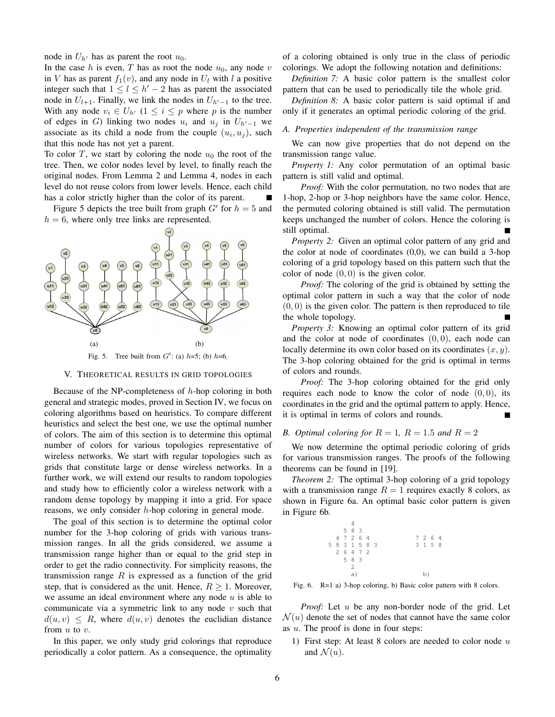node in  $U_{h'}$  has as parent the root  $u_0$ .

In the case h is even, T has as root the node  $u_0$ , any node v in V has as parent  $f_1(v)$ , and any node in  $U_l$  with l a positive integer such that  $1 \leq l \leq h' - 2$  has as parent the associated node in  $U_{l+1}$ . Finally, we link the nodes in  $U_{h'-1}$  to the tree. With any node  $v_i \in U_{h'}$  ( $1 \leq i \leq p$  where p is the number of edges in G) linking two nodes  $u_i$  and  $u_j$  in  $U_{h'-1}$  we associate as its child a node from the couple  $(u_i, u_j)$ , such that this node has not yet a parent.

To color T, we start by coloring the node  $u_0$  the root of the tree. Then, we color nodes level by level, to finally reach the original nodes. From Lemma 2 and Lemma 4, nodes in each level do not reuse colors from lower levels. Hence, each child has a color strictly higher than the color of its parent.

Figure 5 depicts the tree built from graph  $G'$  for  $h = 5$  and  $h = 6$ , where only tree links are represented.



#### V. THEORETICAL RESULTS IN GRID TOPOLOGIES

Because of the NP-completeness of  $h$ -hop coloring in both general and strategic modes, proved in Section IV, we focus on coloring algorithms based on heuristics. To compare different heuristics and select the best one, we use the optimal number of colors. The aim of this section is to determine this optimal number of colors for various topologies representative of wireless networks. We start with regular topologies such as grids that constitute large or dense wireless networks. In a further work, we will extend our results to random topologies and study how to efficiently color a wireless network with a random dense topology by mapping it into a grid. For space reasons, we only consider  $h$ -hop coloring in general mode.

The goal of this section is to determine the optimal color number for the 3-hop coloring of grids with various transmission ranges. In all the grids considered, we assume a transmission range higher than or equal to the grid step in order to get the radio connectivity. For simplicity reasons, the transmission range  $R$  is expressed as a function of the grid step, that is considered as the unit. Hence,  $R \geq 1$ . Moreover, we assume an ideal environment where any node  $u$  is able to communicate via a symmetric link to any node  $v$  such that  $d(u, v) \leq R$ , where  $d(u, v)$  denotes the euclidian distance from  $u$  to  $v$ .

In this paper, we only study grid colorings that reproduce periodically a color pattern. As a consequence, the optimality

of a coloring obtained is only true in the class of periodic colorings. We adopt the following notation and definitions:

*Definition 7:* A basic color pattern is the smallest color pattern that can be used to periodically tile the whole grid.

*Definition 8:* A basic color pattern is said optimal if and only if it generates an optimal periodic coloring of the grid.

#### *A. Properties independent of the transmission range*

We can now give properties that do not depend on the transmission range value.

*Property 1:* Any color permutation of an optimal basic pattern is still valid and optimal.

*Proof:* With the color permutation, no two nodes that are 1-hop, 2-hop or 3-hop neighbors have the same color. Hence, the permuted coloring obtained is still valid. The permutation keeps unchanged the number of colors. Hence the coloring is still optimal.

*Property 2:* Given an optimal color pattern of any grid and the color at node of coordinates (0,0), we can build a 3-hop coloring of a grid topology based on this pattern such that the color of node  $(0, 0)$  is the given color.

*Proof:* The coloring of the grid is obtained by setting the optimal color pattern in such a way that the color of node  $(0, 0)$  is the given color. The pattern is then reproduced to tile the whole topology.

*Property 3:* Knowing an optimal color pattern of its grid and the color at node of coordinates  $(0, 0)$ , each node can locally determine its own color based on its coordinates  $(x, y)$ . The 3-hop coloring obtained for the grid is optimal in terms of colors and rounds.

*Proof:* The 3-hop coloring obtained for the grid only requires each node to know the color of node  $(0, 0)$ , its coordinates in the grid and the optimal pattern to apply. Hence, it is optimal in terms of colors and rounds.

#### *B. Optimal coloring for*  $R = 1$ ,  $R = 1.5$  *and*  $R = 2$

We now determine the optimal periodic coloring of grids for various transmission ranges. The proofs of the following theorems can be found in [19].

*Theorem 2:* The optimal 3-hop coloring of a grid topology with a transmission range  $R = 1$  requires exactly 8 colors, as shown in Figure 6a. An optimal basic color pattern is given in Figure 6b.

|  | 5 8 3          |  |  |    |  |  |         |  |  |
|--|----------------|--|--|----|--|--|---------|--|--|
|  | 4 7 2 6 4      |  |  |    |  |  | 7 2 6 4 |  |  |
|  | 5 8 3 1 5 8 3  |  |  |    |  |  | 3 1 5 8 |  |  |
|  | 2 6 4 7 2      |  |  |    |  |  |         |  |  |
|  | 5 8 3          |  |  |    |  |  |         |  |  |
|  | $\mathfrak{D}$ |  |  |    |  |  |         |  |  |
|  | a)             |  |  | b) |  |  |         |  |  |
|  |                |  |  |    |  |  |         |  |  |

Fig. 6. R=1 a) 3-hop coloring, b) Basic color pattern with 8 colors.

*Proof:* Let u be any non-border node of the grid. Let  $\mathcal{N}(u)$  denote the set of nodes that cannot have the same color as u. The proof is done in four steps:

1) First step: At least 8 colors are needed to color node  $u$ and  $\mathcal{N}(u)$ .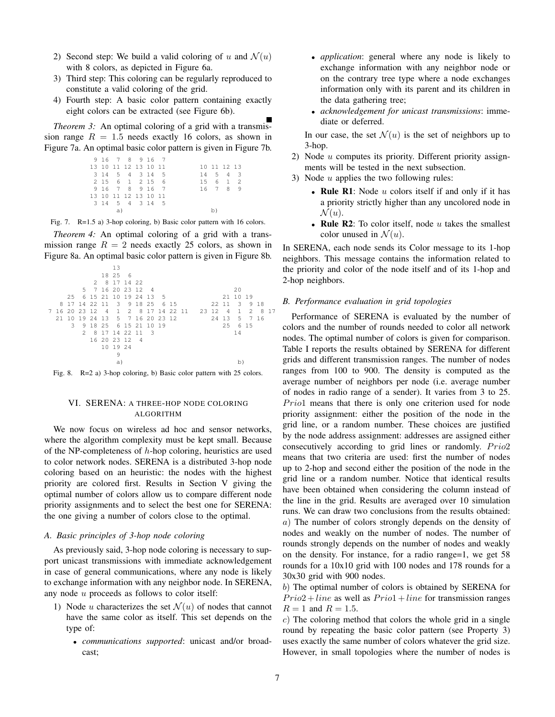- 2) Second step: We build a valid coloring of u and  $\mathcal{N}(u)$ with 8 colors, as depicted in Figure 6a.
- 3) Third step: This coloring can be regularly reproduced to constitute a valid coloring of the grid.
- 4) Fourth step: A basic color pattern containing exactly eight colors can be extracted (see Figure 6b).

*Theorem 3:* An optimal coloring of a grid with a transmission range  $R = 1.5$  needs exactly 16 colors, as shown in Figure 7a. An optimal basic color pattern is given in Figure 7b.

|    |  | 9 16 7 8 9 16 7      |  |  |  |  |             |
|----|--|----------------------|--|--|--|--|-------------|
|    |  | 13 10 11 12 13 10 11 |  |  |  |  | 10 11 12 13 |
|    |  | 3 14 5 4 3 14 5      |  |  |  |  | 14 5 4 3    |
|    |  | 2 15 6 1 2 15 6      |  |  |  |  | 15 6 1 2    |
|    |  | 9 16 7 8 9 16 7      |  |  |  |  | 16 7 8<br>9 |
|    |  | 13 10 11 12 13 10 11 |  |  |  |  |             |
|    |  | 3 14 5 4 3 14 5      |  |  |  |  |             |
| a) |  |                      |  |  |  |  |             |
|    |  |                      |  |  |  |  |             |

Fig. 7. R=1.5 a) 3-hop coloring, b) Basic color pattern with 16 colors.

*Theorem 4:* An optimal coloring of a grid with a transmission range  $R = 2$  needs exactly 25 colors, as shown in Figure 8a. An optimal basic color pattern is given in Figure 8b.



Fig. 8. R=2 a) 3-hop coloring, b) Basic color pattern with 25 colors.

#### VI. SERENA: A THREE-HOP NODE COLORING ALGORITHM

We now focus on wireless ad hoc and sensor networks, where the algorithm complexity must be kept small. Because of the NP-completeness of  $h$ -hop coloring, heuristics are used to color network nodes. SERENA is a distributed 3-hop node coloring based on an heuristic: the nodes with the highest priority are colored first. Results in Section V giving the optimal number of colors allow us to compare different node priority assignments and to select the best one for SERENA: the one giving a number of colors close to the optimal.

#### *A. Basic principles of 3-hop node coloring*

As previously said, 3-hop node coloring is necessary to support unicast transmissions with immediate acknowledgement in case of general communications, where any node is likely to exchange information with any neighbor node. In SERENA, any node u proceeds as follows to color itself:

- 1) Node u characterizes the set  $\mathcal{N}(u)$  of nodes that cannot have the same color as itself. This set depends on the type of:
	- *communications supported*: unicast and/or broadcast;
- *application*: general where any node is likely to exchange information with any neighbor node or on the contrary tree type where a node exchanges information only with its parent and its children in the data gathering tree;
- *acknowledgement for unicast transmissions*: immediate or deferred.

In our case, the set  $\mathcal{N}(u)$  is the set of neighbors up to 3-hop.

- 2) Node  $u$  computes its priority. Different priority assignments will be tested in the next subsection.
- 3) Node  $u$  applies the two following rules:
	- Rule R1: Node  $u$  colors itself if and only if it has a priority strictly higher than any uncolored node in  $\mathcal{N}(u)$ .
	- Rule R2: To color itself, node  $u$  takes the smallest color unused in  $\mathcal{N}(u)$ .

In SERENA, each node sends its Color message to its 1-hop neighbors. This message contains the information related to the priority and color of the node itself and of its 1-hop and 2-hop neighbors.

#### *B. Performance evaluation in grid topologies*

Performance of SERENA is evaluated by the number of colors and the number of rounds needed to color all network nodes. The optimal number of colors is given for comparison. Table I reports the results obtained by SERENA for different grids and different transmission ranges. The number of nodes ranges from 100 to 900. The density is computed as the average number of neighbors per node (i.e. average number of nodes in radio range of a sender). It varies from 3 to 25. Prio1 means that there is only one criterion used for node priority assignment: either the position of the node in the grid line, or a random number. These choices are justified by the node address assignment: addresses are assigned either consecutively according to grid lines or randomly.  $Prio2$ means that two criteria are used: first the number of nodes up to 2-hop and second either the position of the node in the grid line or a random number. Notice that identical results have been obtained when considering the column instead of the line in the grid. Results are averaged over 10 simulation runs. We can draw two conclusions from the results obtained: a) The number of colors strongly depends on the density of nodes and weakly on the number of nodes. The number of rounds strongly depends on the number of nodes and weakly on the density. For instance, for a radio range=1, we get 58 rounds for a 10x10 grid with 100 nodes and 178 rounds for a 30x30 grid with 900 nodes.

b) The optimal number of colors is obtained by SERENA for  $Prio2 + line$  as well as  $Prio1 + line$  for transmission ranges  $R = 1$  and  $R = 1.5$ .

c) The coloring method that colors the whole grid in a single round by repeating the basic color pattern (see Property 3) uses exactly the same number of colors whatever the grid size. However, in small topologies where the number of nodes is